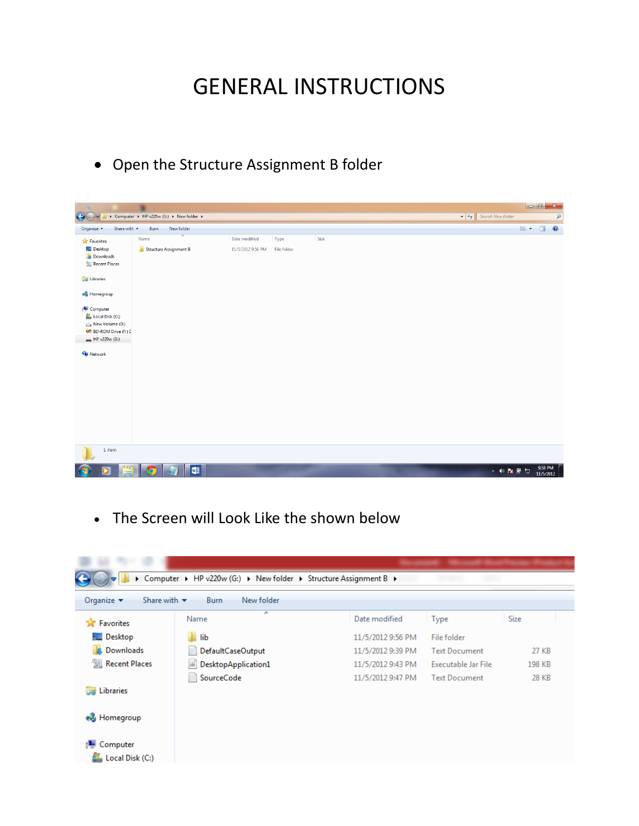## GENERAL INSTRUCTIONS

Open the Structure Assignment B folder

| $\bigodot$                                                                                  | ▶ Computer ▶ HP v220w (G:) ▶ New folder ▶ |                   |             |      |  | $\bullet$ $\bullet$ $\bullet$ Search New folder |     |                      | ٩         |
|---------------------------------------------------------------------------------------------|-------------------------------------------|-------------------|-------------|------|--|-------------------------------------------------|-----|----------------------|-----------|
| Share with $\star$<br>Organize -                                                            | Burn<br>New folder                        |                   |             |      |  |                                                 | ■ ▼ | $\Box$               | $\bullet$ |
| <b>X</b> Favorites                                                                          | Name                                      | Date modified     | Type        | Size |  |                                                 |     |                      |           |
| Desktop<br><b>Downloads</b><br><b>El Recent Places</b>                                      | Structure Assignment B                    | 11/5/2012 9:56 PM | File folder |      |  |                                                 |     |                      |           |
| Libraries                                                                                   |                                           |                   |             |      |  |                                                 |     |                      |           |
| <b>R</b> Homegroup                                                                          |                                           |                   |             |      |  |                                                 |     |                      |           |
| Computer<br>Local Disk (C:)<br>New Volume (D:)<br>OO BD-ROM Drive (F:) D<br>$HP$ v220w (G:) |                                           |                   |             |      |  |                                                 |     |                      |           |
| <b>Gu</b> Network                                                                           |                                           |                   |             |      |  |                                                 |     |                      |           |
| 1 item                                                                                      |                                           |                   |             |      |  |                                                 |     |                      |           |
| $\overline{\mathbf{o}}$                                                                     | WE.                                       |                   |             |      |  | ▲ 10 2 6 四                                      |     | 9:58 PM<br>11/5/2012 |           |

The Screen will Look Like the shown below

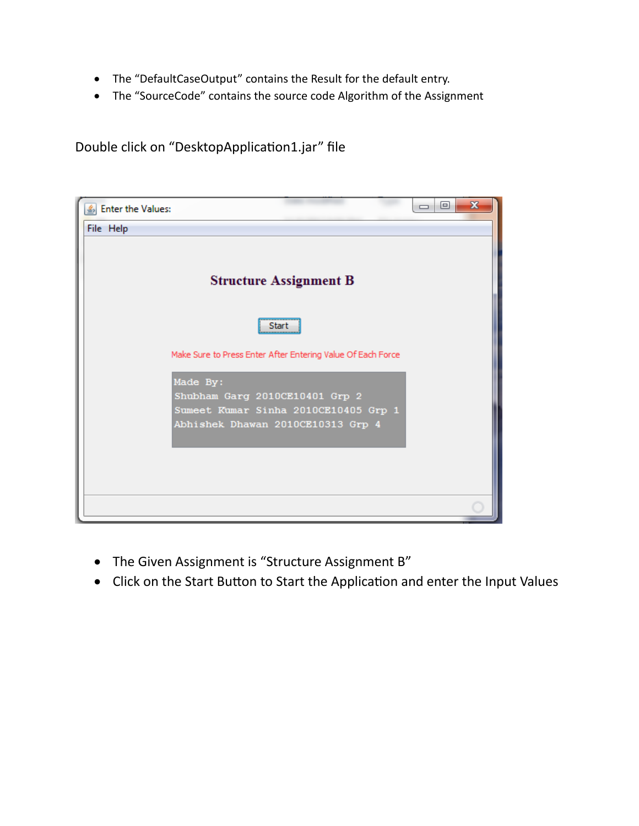- The "DefaultCaseOutput" contains the Result for the default entry.
- The "SourceCode" contains the source code Algorithm of the Assignment

Double click on "DesktopApplication1.jar" file

| S Enter the Values:                                                    | x<br>E |
|------------------------------------------------------------------------|--------|
| File Help                                                              |        |
| <b>Structure Assignment B</b>                                          |        |
| Start                                                                  |        |
| Make Sure to Press Enter After Entering Value Of Each Force            |        |
| Made By:                                                               |        |
| Shubham Garg 2010CE10401 Grp 2<br>Sumeet Kumar Sinha 2010CE10405 Grp 1 |        |
| Abhishek Dhawan 2010CE10313 Grp 4                                      |        |
|                                                                        |        |
|                                                                        |        |
|                                                                        |        |

- The Given Assignment is "Structure Assignment B"
- Click on the Start Button to Start the Application and enter the Input Values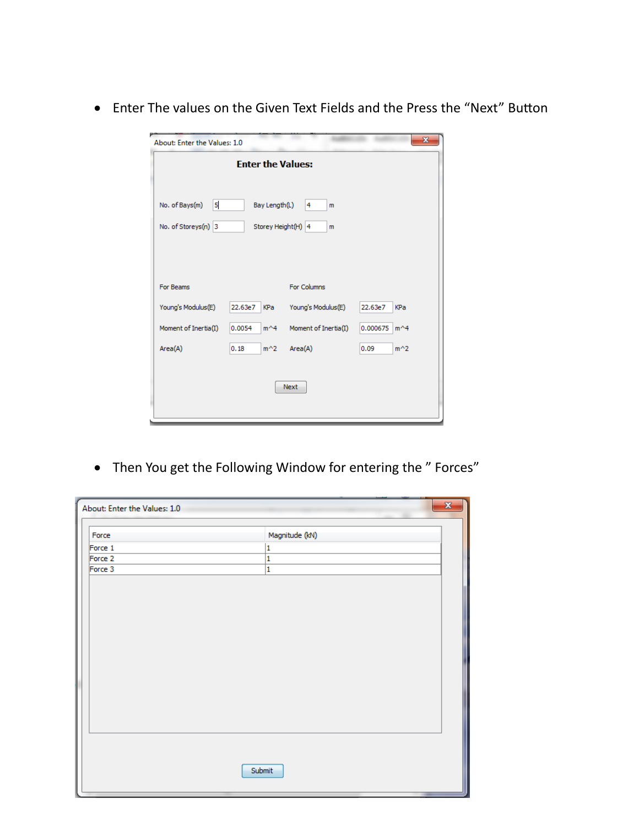Enter The values on the Given Text Fields and the Press the "Next" Button

| $\mathbf{x}$<br>About: Enter the Values: 1.0   |                         |                      |                           |  |
|------------------------------------------------|-------------------------|----------------------|---------------------------|--|
| <b>Enter the Values:</b>                       |                         |                      |                           |  |
| 5<br>No. of Bays(m)                            | Bay Length(L)           | $\overline{4}$<br>m  |                           |  |
| No. of Storeys(n) 3<br>Storey Height(H) 4<br>m |                         |                      |                           |  |
|                                                |                         |                      |                           |  |
|                                                |                         |                      |                           |  |
| For Beams                                      |                         | For Columns          |                           |  |
| Young's Modulus(E)                             | 22.63e7<br>KPa          | Young's Modulus(E)   | 22.63e7<br>KPa            |  |
| Moment of Inertia(I)                           | 0.0054<br>$m^{\wedge}4$ | Moment of Inertia(I) | 0.000675<br>$m^{\wedge}4$ |  |
| Area(A)                                        | 0.18<br>$m^2$           | Area(A)              | 0.09<br>$m^2$             |  |
|                                                |                         |                      |                           |  |
| <b>Next</b>                                    |                         |                      |                           |  |
|                                                |                         |                      |                           |  |

• Then You get the Following Window for entering the " Forces"

| About: Enter the Values: 1.0 | $\mathbf{x}$   |
|------------------------------|----------------|
| Force                        | Magnitude (kN) |
| Force 1                      | 1              |
| Force 2                      | 1              |
| Force 3                      | $\mathbf{1}$   |
|                              |                |
|                              | Submit         |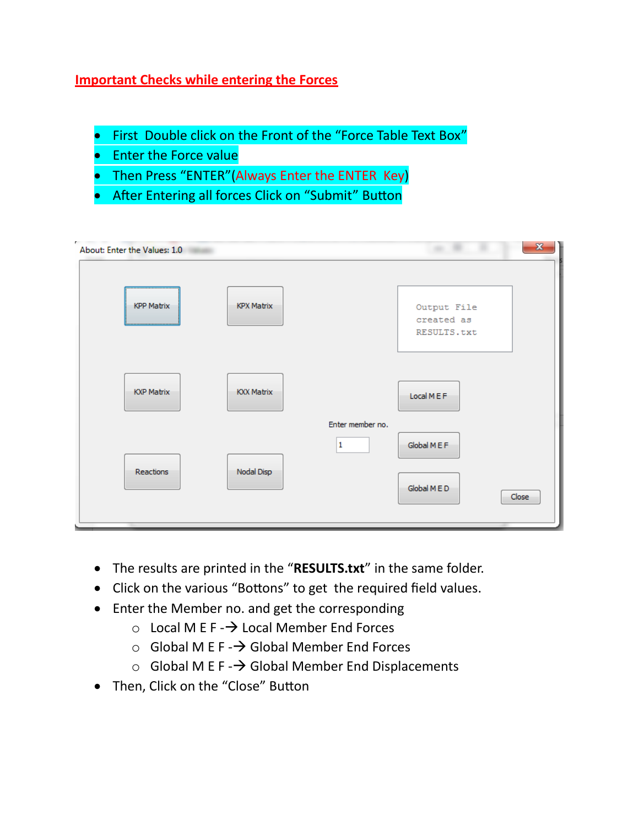## **Important Checks while entering the Forces**

- First Double click on the Front of the "Force Table Text Box"
- **•** Enter the Force value
- Then Press "ENTER"(Always Enter the ENTER Key)
- **•** After Entering all forces Click on "Submit" Button

| About: Enter the Values: 1.0 |                   |                  |                                          | $\mathbf{x}$ |
|------------------------------|-------------------|------------------|------------------------------------------|--------------|
| <b>KPP Matrix</b>            | <b>KPX Matrix</b> |                  | Output File<br>created as<br>RESULTS.txt |              |
| <b>KXP Matrix</b>            | <b>KXX Matrix</b> | Enter member no. | Local MEF                                |              |
| Reactions                    | Nodal Disp        | $\mathbf{1}$     | Global MEF<br>Global MED<br>Close        |              |

- The results are printed in the "**RESULTS.txt**" in the same folder.
- Click on the various "Bottons" to get the required field values.
- Enter the Member no. and get the corresponding
	- $\circ$  Local M E F  $\rightarrow$  Local Member End Forces
	- $\circ$  Global M E F  $\rightarrow$  Global Member End Forces
	- $\circ$  Global M E F  $\rightarrow$  Global Member End Displacements
- Then, Click on the "Close" Button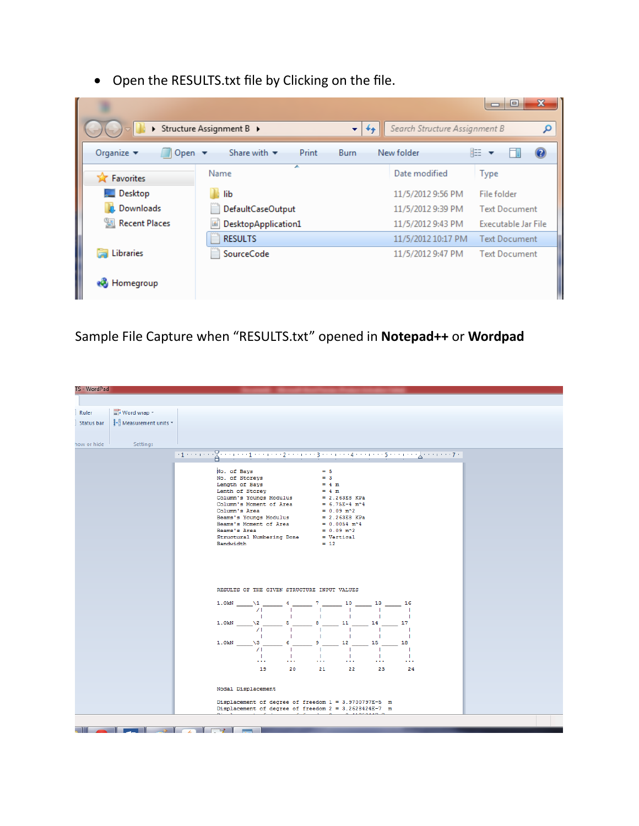Open the RESULTS.txt file by Clicking on the file.

|                                                                                                                                          |                          |                                            | $\overline{\mathbf{x}}$<br>$\Box$ |  |
|------------------------------------------------------------------------------------------------------------------------------------------|--------------------------|--------------------------------------------|-----------------------------------|--|
| ▶                                                                                                                                        | Structure Assignment B ▶ | Search Structure Assignment B<br>$++$<br>÷ | Ω                                 |  |
| 睚<br>Organize $\blacktriangledown$<br>Open $\blacktriangledown$<br>Share with $\blacktriangledown$<br>New folder<br>Print<br><b>Burn</b> |                          |                                            |                                   |  |
| <b>X</b> Favorites                                                                                                                       | A.<br>Name               | Date modified                              | Type                              |  |
| Desktop                                                                                                                                  | lib                      | 11/5/2012 9:56 PM                          | File folder                       |  |
| Downloads<br>Uń.                                                                                                                         | DefaultCaseOutput<br>×.  | 11/5/2012 9:39 PM                          | <b>Text Document</b>              |  |
| <b>图 Recent Places</b>                                                                                                                   | DesktopApplication1      | 11/5/2012 9:43 PM                          | Executable Jar File               |  |
|                                                                                                                                          | <b>RESULTS</b>           | 11/5/2012 10:17 PM                         | <b>Text Document</b>              |  |
| Libraries<br>Б                                                                                                                           | SourceCode<br>÷.         | 11/5/2012 9:47 PM                          | <b>Text Document</b>              |  |
| <b>Homegroup</b>                                                                                                                         |                          |                                            |                                   |  |

Sample File Capture when "RESULTS.txt" opened in **Notepad++** or **Wordpad**